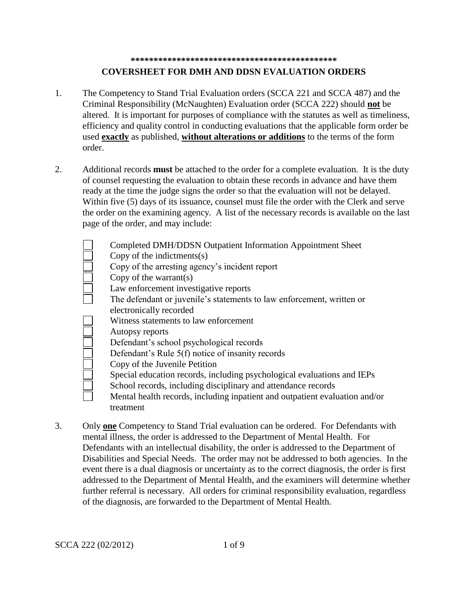# **\*\*\*\*\*\*\*\*\*\*\*\*\*\*\*\*\*\*\*\*\*\*\*\*\*\*\*\*\*\*\*\*\*\*\*\*\*\*\*\*\*\*\*\*\* COVERSHEET FOR DMH AND DDSN EVALUATION ORDERS**

- 1. The Competency to Stand Trial Evaluation orders (SCCA 221 and SCCA 487) and the Criminal Responsibility (McNaughten) Evaluation order (SCCA 222) should **not** be altered. It is important for purposes of compliance with the statutes as well as timeliness, efficiency and quality control in conducting evaluations that the applicable form order be used **exactly** as published, **without alterations or additions** to the terms of the form order.
- 2. Additional records **must** be attached to the order for a complete evaluation. It is the duty of counsel requesting the evaluation to obtain these records in advance and have them ready at the time the judge signs the order so that the evaluation will not be delayed. Within five (5) days of its issuance, counsel must file the order with the Clerk and serve the order on the examining agency. A list of the necessary records is available on the last page of the order, and may include:
	- Completed DMH/DDSN Outpatient Information Appointment Sheet
	- Copy of the indictments(s)
	- Copy of the arresting agency's incident report
	- Copy of the warrant(s)
	- Law enforcement investigative reports
	- The defendant or juvenile's statements to law enforcement, written or electronically recorded
	- Witness statements to law enforcement
	- Autopsy reports
	- Defendant's school psychological records
	- Defendant's Rule 5(f) notice of insanity records
	- Copy of the Juvenile Petition
	- Special education records, including psychological evaluations and IEPs
	- School records, including disciplinary and attendance records
	- Mental health records, including inpatient and outpatient evaluation and/or treatment
- 3. Only **one** Competency to Stand Trial evaluation can be ordered. For Defendants with mental illness, the order is addressed to the Department of Mental Health. For Defendants with an intellectual disability, the order is addressed to the Department of Disabilities and Special Needs. The order may not be addressed to both agencies. In the event there is a dual diagnosis or uncertainty as to the correct diagnosis, the order is first addressed to the Department of Mental Health, and the examiners will determine whether further referral is necessary. All orders for criminal responsibility evaluation, regardless of the diagnosis, are forwarded to the Department of Mental Health.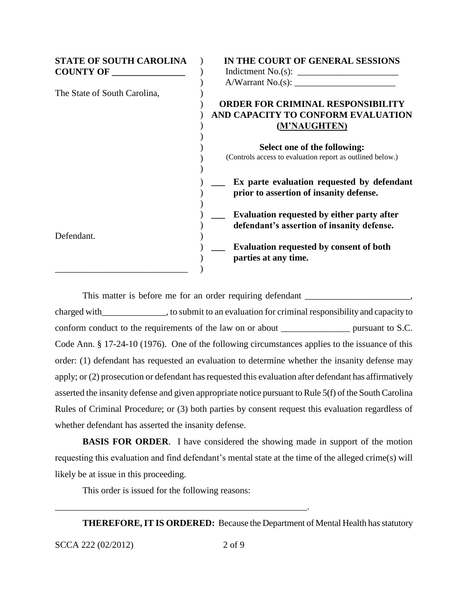| <b>STATE OF SOUTH CAROLINA</b><br><b>COUNTY OF ________</b> | IN THE COURT OF GENERAL SESSIONS<br>Indictment No.(s): $\frac{1}{\sqrt{1-\frac{1}{2}} \cdot \frac{1}{2}}$                                          |
|-------------------------------------------------------------|----------------------------------------------------------------------------------------------------------------------------------------------------|
| The State of South Carolina,                                | A/Warrant No.(s):<br><b>ORDER FOR CRIMINAL RESPONSIBILITY</b><br>AND CAPACITY TO CONFORM EVALUATION                                                |
|                                                             | (M'NAUGHTEN)<br>Select one of the following:                                                                                                       |
|                                                             | (Controls access to evaluation report as outlined below.)<br>Ex parte evaluation requested by defendant<br>prior to assertion of insanity defense. |
|                                                             | <b>Evaluation requested by either party after</b><br>defendant's assertion of insanity defense.                                                    |
| Defendant.                                                  | <b>Evaluation requested by consent of both</b><br>parties at any time.                                                                             |

This matter is before me for an order requiring defendant \_\_\_\_\_\_\_\_\_\_\_\_\_\_\_\_\_\_\_\_\_\_\_ charged with to submit to an evaluation for criminal responsibility and capacity to conform conduct to the requirements of the law on or about \_\_\_\_\_\_\_\_\_\_\_\_\_\_\_\_\_\_\_ pursuant to S.C. Code Ann. § 17-24-10 (1976). One of the following circumstances applies to the issuance of this order: (1) defendant has requested an evaluation to determine whether the insanity defense may apply; or (2) prosecution or defendant has requested this evaluation after defendant has affirmatively asserted the insanity defense and given appropriate notice pursuant to Rule 5(f) of the South Carolina Rules of Criminal Procedure; or (3) both parties by consent request this evaluation regardless of whether defendant has asserted the insanity defense.

**BASIS FOR ORDER.** I have considered the showing made in support of the motion requesting this evaluation and find defendant's mental state at the time of the alleged crime(s) will likely be at issue in this proceeding.

This order is issued for the following reasons:

\_\_\_\_\_\_\_\_\_\_\_\_\_\_\_\_\_\_\_\_\_\_\_\_\_\_\_\_\_\_\_\_\_\_\_\_\_\_\_\_\_\_\_\_\_\_\_\_\_\_\_\_\_\_\_.

**THEREFORE, IT IS ORDERED:** Because the Department of Mental Health has statutory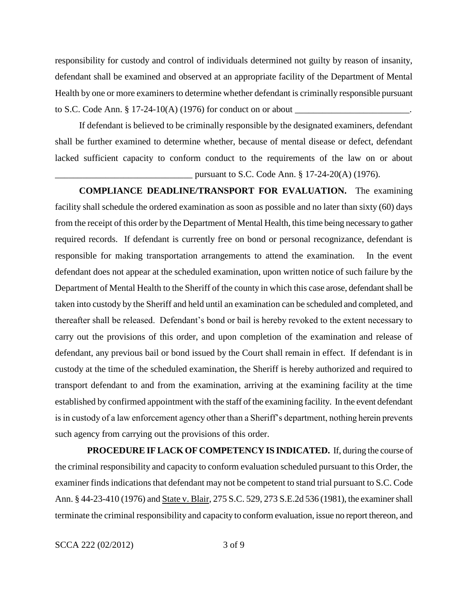responsibility for custody and control of individuals determined not guilty by reason of insanity, defendant shall be examined and observed at an appropriate facility of the Department of Mental Health by one or more examiners to determine whether defendant is criminally responsible pursuant to S.C. Code Ann.  $\S 17-24-10(A)$  (1976) for conduct on or about  $\blacksquare$ 

If defendant is believed to be criminally responsible by the designated examiners, defendant shall be further examined to determine whether, because of mental disease or defect, defendant lacked sufficient capacity to conform conduct to the requirements of the law on or about

 $\_$  pursuant to S.C. Code Ann.  $§$  17-24-20(A) (1976).

**COMPLIANCE DEADLINE/TRANSPORT FOR EVALUATION.** The examining facility shall schedule the ordered examination as soon as possible and no later than sixty (60) days from the receipt of this order by the Department of Mental Health, this time being necessary to gather required records. If defendant is currently free on bond or personal recognizance, defendant is responsible for making transportation arrangements to attend the examination. In the event defendant does not appear at the scheduled examination, upon written notice of such failure by the Department of Mental Health to the Sheriff of the county in which this case arose, defendant shall be taken into custody by the Sheriff and held until an examination can be scheduled and completed, and thereafter shall be released. Defendant's bond or bail is hereby revoked to the extent necessary to carry out the provisions of this order, and upon completion of the examination and release of defendant, any previous bail or bond issued by the Court shall remain in effect. If defendant is in custody at the time of the scheduled examination, the Sheriff is hereby authorized and required to transport defendant to and from the examination, arriving at the examining facility at the time established by confirmed appointment with the staff of the examining facility. In the event defendant is in custody of a law enforcement agency other than a Sheriff's department, nothing herein prevents such agency from carrying out the provisions of this order.

**PROCEDURE IF LACK OF COMPETENCY IS INDICATED.** If, during the course of the criminal responsibility and capacity to conform evaluation scheduled pursuant to this Order, the examiner finds indications that defendant may not be competent to stand trial pursuant to S.C. Code Ann. § 44-23-410 (1976) and State v. Blair, 275 S.C. 529, 273 S.E.2d 536 (1981), the examiner shall terminate the criminal responsibility and capacity to conform evaluation, issue no report thereon, and

SCCA 222 (02/2012) 3 of 9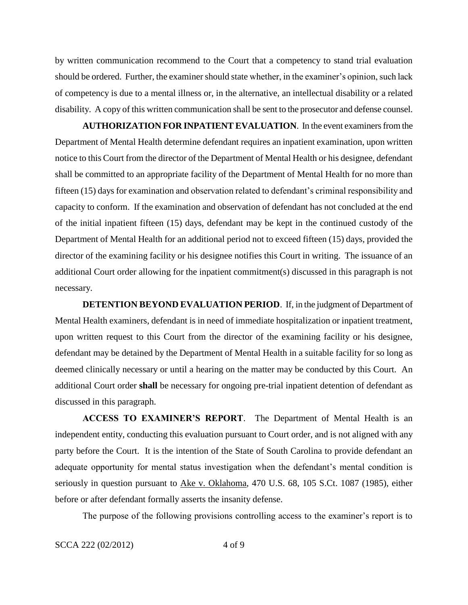by written communication recommend to the Court that a competency to stand trial evaluation should be ordered. Further, the examiner should state whether, in the examiner's opinion, such lack of competency is due to a mental illness or, in the alternative, an intellectual disability or a related disability. A copy of this written communication shall be sent to the prosecutor and defense counsel.

**AUTHORIZATION FOR INPATIENT EVALUATION**. In the event examiners from the Department of Mental Health determine defendant requires an inpatient examination, upon written notice to this Court from the director of the Department of Mental Health or his designee, defendant shall be committed to an appropriate facility of the Department of Mental Health for no more than fifteen (15) days for examination and observation related to defendant's criminal responsibility and capacity to conform. If the examination and observation of defendant has not concluded at the end of the initial inpatient fifteen (15) days, defendant may be kept in the continued custody of the Department of Mental Health for an additional period not to exceed fifteen (15) days, provided the director of the examining facility or his designee notifies this Court in writing. The issuance of an additional Court order allowing for the inpatient commitment(s) discussed in this paragraph is not necessary.

**DETENTION BEYOND EVALUATION PERIOD**. If, in the judgment of Department of Mental Health examiners, defendant is in need of immediate hospitalization or inpatient treatment, upon written request to this Court from the director of the examining facility or his designee, defendant may be detained by the Department of Mental Health in a suitable facility for so long as deemed clinically necessary or until a hearing on the matter may be conducted by this Court.An additional Court order **shall** be necessary for ongoing pre-trial inpatient detention of defendant as discussed in this paragraph.

**ACCESS TO EXAMINER'S REPORT**. The Department of Mental Health is an independent entity, conducting this evaluation pursuant to Court order, and is not aligned with any party before the Court. It is the intention of the State of South Carolina to provide defendant an adequate opportunity for mental status investigation when the defendant's mental condition is seriously in question pursuant to Ake v. Oklahoma, 470 U.S. 68, 105 S.Ct. 1087 (1985), either before or after defendant formally asserts the insanity defense.

The purpose of the following provisions controlling access to the examiner's report is to

SCCA 222 (02/2012) 4 of 9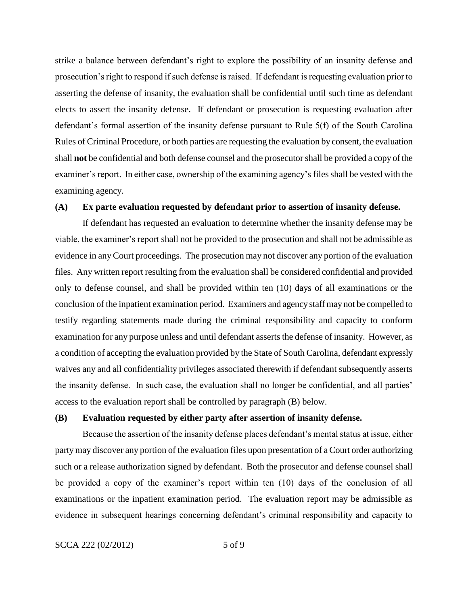strike a balance between defendant's right to explore the possibility of an insanity defense and prosecution's right to respond if such defense is raised. If defendant is requesting evaluation prior to asserting the defense of insanity, the evaluation shall be confidential until such time as defendant elects to assert the insanity defense. If defendant or prosecution is requesting evaluation after defendant's formal assertion of the insanity defense pursuant to Rule 5(f) of the South Carolina Rules of Criminal Procedure, or both parties are requesting the evaluation by consent, the evaluation shall **not** be confidential and both defense counsel and the prosecutor shall be provided a copy of the examiner's report. In either case, ownership of the examining agency's files shall be vested with the examining agency.

## **(A) Ex parte evaluation requested by defendant prior to assertion of insanity defense.**

If defendant has requested an evaluation to determine whether the insanity defense may be viable, the examiner's report shall not be provided to the prosecution and shall not be admissible as evidence in any Court proceedings. The prosecution may not discover any portion of the evaluation files. Any written report resulting from the evaluation shall be considered confidential and provided only to defense counsel, and shall be provided within ten (10) days of all examinations or the conclusion of the inpatient examination period. Examiners and agency staff may not be compelled to testify regarding statements made during the criminal responsibility and capacity to conform examination for any purpose unless and until defendant asserts the defense of insanity. However, as a condition of accepting the evaluation provided by the State of South Carolina, defendant expressly waives any and all confidentiality privileges associated therewith if defendant subsequently asserts the insanity defense. In such case, the evaluation shall no longer be confidential, and all parties' access to the evaluation report shall be controlled by paragraph (B) below.

## **(B) Evaluation requested by either party after assertion of insanity defense.**

Because the assertion of the insanity defense places defendant's mental status at issue, either party may discover any portion of the evaluation files upon presentation of a Court order authorizing such or a release authorization signed by defendant. Both the prosecutor and defense counsel shall be provided a copy of the examiner's report within ten (10) days of the conclusion of all examinations or the inpatient examination period. The evaluation report may be admissible as evidence in subsequent hearings concerning defendant's criminal responsibility and capacity to

SCCA 222 (02/2012) 5 of 9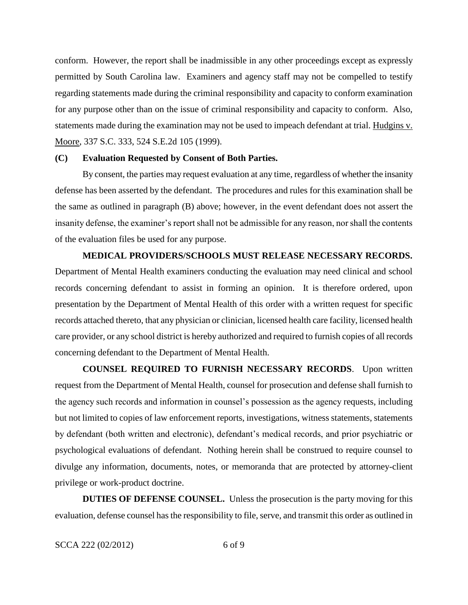conform. However, the report shall be inadmissible in any other proceedings except as expressly permitted by South Carolina law. Examiners and agency staff may not be compelled to testify regarding statements made during the criminal responsibility and capacity to conform examination for any purpose other than on the issue of criminal responsibility and capacity to conform. Also, statements made during the examination may not be used to impeach defendant at trial. Hudgins v. Moore, 337 S.C. 333, 524 S.E.2d 105 (1999).

#### **(C) Evaluation Requested by Consent of Both Parties.**

By consent, the parties may request evaluation at any time, regardless of whether the insanity defense has been asserted by the defendant. The procedures and rules for this examination shall be the same as outlined in paragraph (B) above; however, in the event defendant does not assert the insanity defense, the examiner's report shall not be admissible for any reason, nor shall the contents of the evaluation files be used for any purpose.

#### **MEDICAL PROVIDERS/SCHOOLS MUST RELEASE NECESSARY RECORDS.**

Department of Mental Health examiners conducting the evaluation may need clinical and school records concerning defendant to assist in forming an opinion. It is therefore ordered, upon presentation by the Department of Mental Health of this order with a written request for specific records attached thereto, that any physician or clinician, licensed health care facility, licensed health care provider, or any school district is hereby authorized and required to furnish copies of all records concerning defendant to the Department of Mental Health.

**COUNSEL REQUIRED TO FURNISH NECESSARY RECORDS**. Upon written request from the Department of Mental Health, counsel for prosecution and defense shall furnish to the agency such records and information in counsel's possession as the agency requests, including but not limited to copies of law enforcement reports, investigations, witness statements, statements by defendant (both written and electronic), defendant's medical records, and prior psychiatric or psychological evaluations of defendant. Nothing herein shall be construed to require counsel to divulge any information, documents, notes, or memoranda that are protected by attorney-client privilege or work-product doctrine.

**DUTIES OF DEFENSE COUNSEL.** Unless the prosecution is the party moving for this evaluation, defense counsel has the responsibility to file, serve, and transmit this order as outlined in

SCCA 222 (02/2012) 6 of 9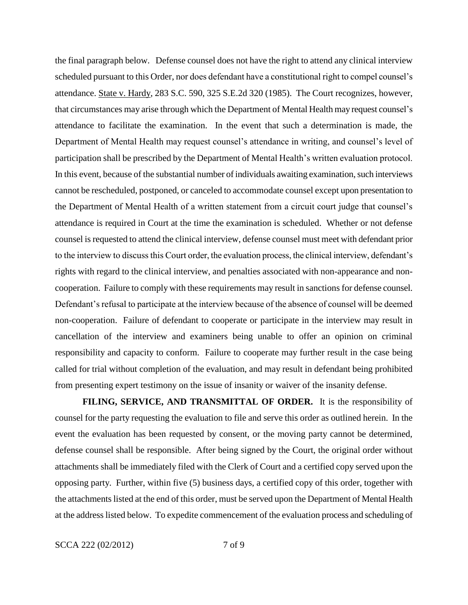the final paragraph below. Defense counsel does not have the right to attend any clinical interview scheduled pursuant to this Order, nor does defendant have a constitutional right to compel counsel's attendance. State v. Hardy, 283 S.C. 590, 325 S.E.2d 320 (1985). The Court recognizes, however, that circumstances may arise through which the Department of Mental Health may request counsel's attendance to facilitate the examination. In the event that such a determination is made, the Department of Mental Health may request counsel's attendance in writing, and counsel's level of participation shall be prescribed by the Department of Mental Health's written evaluation protocol. In this event, because of the substantial number of individuals awaiting examination, such interviews cannot be rescheduled, postponed, or canceled to accommodate counsel except upon presentation to the Department of Mental Health of a written statement from a circuit court judge that counsel's attendance is required in Court at the time the examination is scheduled. Whether or not defense counsel is requested to attend the clinical interview, defense counsel must meet with defendant prior to the interview to discuss this Court order, the evaluation process, the clinical interview, defendant's rights with regard to the clinical interview, and penalties associated with non-appearance and noncooperation. Failure to comply with these requirements may result in sanctions for defense counsel. Defendant's refusal to participate at the interview because of the absence of counsel will be deemed non-cooperation. Failure of defendant to cooperate or participate in the interview may result in cancellation of the interview and examiners being unable to offer an opinion on criminal responsibility and capacity to conform. Failure to cooperate may further result in the case being called for trial without completion of the evaluation, and may result in defendant being prohibited from presenting expert testimony on the issue of insanity or waiver of the insanity defense.

**FILING, SERVICE, AND TRANSMITTAL OF ORDER.** It is the responsibility of counsel for the party requesting the evaluation to file and serve this order as outlined herein. In the event the evaluation has been requested by consent, or the moving party cannot be determined, defense counsel shall be responsible. After being signed by the Court, the original order without attachments shall be immediately filed with the Clerk of Court and a certified copy served upon the opposing party. Further, within five (5) business days, a certified copy of this order, together with the attachments listed at the end of this order, must be served upon the Department of Mental Health at the address listed below. To expedite commencement of the evaluation process and scheduling of

SCCA 222 (02/2012) 7 of 9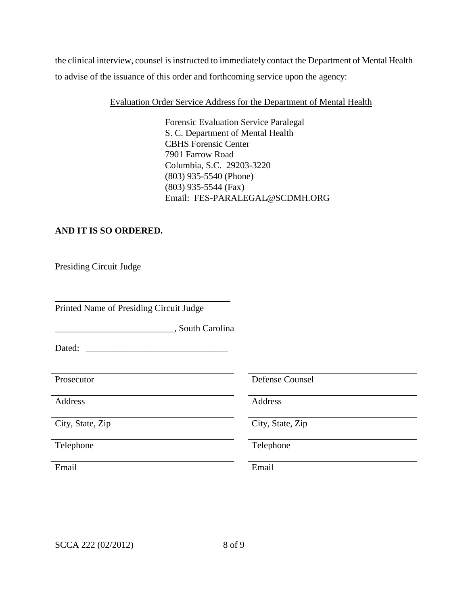the clinical interview, counsel is instructed to immediately contact the Department of Mental Health to advise of the issuance of this order and forthcoming service upon the agency:

Evaluation Order Service Address for the Department of Mental Health

Forensic Evaluation Service Paralegal S. C. Department of Mental Health CBHS Forensic Center 7901 Farrow Road Columbia, S.C. 29203-3220 (803) 935-5540 (Phone) (803) 935-5544 (Fax) Email: FES-PARALEGAL@SCDMH.ORG

## **AND IT IS SO ORDERED.**

Presiding Circuit Judge

Printed Name of Presiding Circuit Judge

\_\_\_\_\_\_\_\_\_\_\_\_\_\_\_\_\_\_\_\_\_\_\_\_\_\_, South Carolina

Dated:

Address Address

Email Email

Prosecutor Defense Counsel

City, State, Zip City, State, Zip

Telephone Telephone